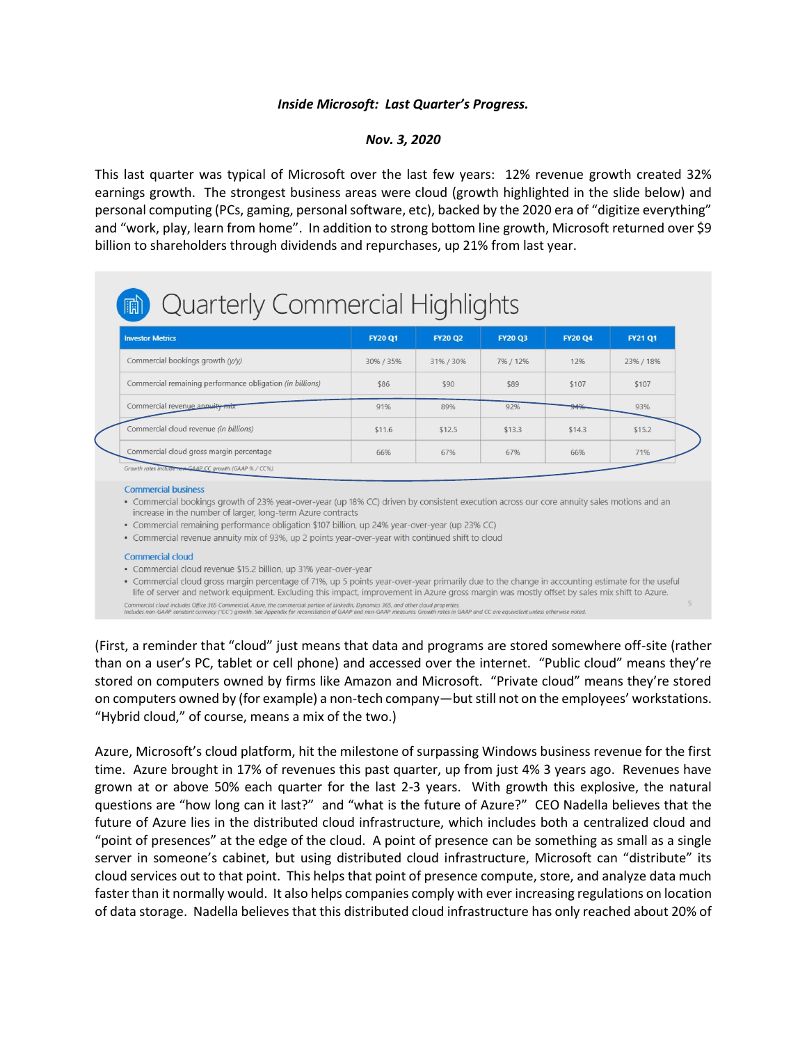## *Inside Microsoft: Last Quarter's Progress.*

## *Nov. 3, 2020*

This last quarter was typical of Microsoft over the last few years: 12% revenue growth created 32% earnings growth. The strongest business areas were cloud (growth highlighted in the slide below) and personal computing (PCs, gaming, personal software, etc), backed by the 2020 era of "digitize everything" and "work, play, learn from home". In addition to strong bottom line growth, Microsoft returned over \$9 billion to shareholders through dividends and repurchases, up 21% from last year.

# in) Quarterly Commercial Highlights

| <b>Investor Metrics</b>                                   | <b>FY20 Q1</b> | <b>FY20 Q2</b> | <b>FY20 Q3</b> | <b>FY20 Q4</b> | <b>FY21 Q1</b> |
|-----------------------------------------------------------|----------------|----------------|----------------|----------------|----------------|
| Commercial bookings growth (y/y)                          | 30% / 35%      | 31% / 30%      | 7% / 12%       | 12%            | 23% / 18%      |
| Commercial remaining performance obligation (in billions) | \$86           | \$90           | \$89           | \$107          | \$107          |
| Commercial revenue annuity mix                            | 91%            | 89%            | 92%            | 94%            | 93%            |
| Commercial cloud revenue (in billions)                    | \$11.6         | \$12.5         | \$13.3         | \$14.3         | \$15.2         |
| Commercial cloud gross margin percentage                  | 66%            | 67%            | 67%            | 66%            | 71%            |

### **Commercial business**

· Commercial bookings growth of 23% year-over-year (up 18% CC) driven by consistent execution across our core annuity sales motions and an increase in the number of larger, long-term Azure contracts

• Commercial remaining performance obligation \$107 billion, up 24% year-over-year (up 23% CC)

• Commercial revenue annuity mix of 93%, up 2 points year-over-year with continued shift to cloud

#### **Commercial cloud**

• Commercial cloud revenue \$15.2 billion, up 31% year-over-year

· Commercial cloud gross margin percentage of 71%, up 5 points year-over-year primarily due to the change in accounting estimate for the useful life of server and network equipment. Excluding this impact, improvement in Azure gross margin was mostly offset by sales mix shift to Azure.

Commercial cloud includes Office 365 Commercial, Azure, the commercial portion of LinkedIn, Dynamics 365, and other cloud properties.<br>Includes non-GAAP constant currency ("CC") growth. See Appendix for reconciliation of GA

(First, a reminder that "cloud" just means that data and programs are stored somewhere off-site (rather than on a user's PC, tablet or cell phone) and accessed over the internet. "Public cloud" means they're stored on computers owned by firms like Amazon and Microsoft. "Private cloud" means they're stored on computers owned by (for example) a non-tech company—but still not on the employees' workstations. "Hybrid cloud," of course, means a mix of the two.)

Azure, Microsoft's cloud platform, hit the milestone of surpassing Windows business revenue for the first time. Azure brought in 17% of revenues this past quarter, up from just 4% 3 years ago. Revenues have grown at or above 50% each quarter for the last 2-3 years. With growth this explosive, the natural questions are "how long can it last?" and "what is the future of Azure?" CEO Nadella believes that the future of Azure lies in the distributed cloud infrastructure, which includes both a centralized cloud and "point of presences" at the edge of the cloud. A point of presence can be something as small as a single server in someone's cabinet, but using distributed cloud infrastructure, Microsoft can "distribute" its cloud services out to that point. This helps that point of presence compute, store, and analyze data much faster than it normally would. It also helps companies comply with ever increasing regulations on location of data storage. Nadella believes that this distributed cloud infrastructure has only reached about 20% of